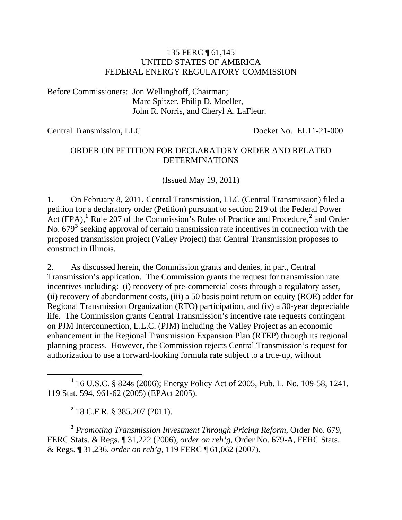#### 135 FERC ¶ 61,145 UNITED STATES OF AMERICA FEDERAL ENERGY REGULATORY COMMISSION

Before Commissioners: Jon Wellinghoff, Chairman; Marc Spitzer, Philip D. Moeller, John R. Norris, and Cheryl A. LaFleur.

Central Transmission, LLC Docket No. EL11-21-000

#### ORDER ON PETITION FOR DECLARATORY ORDER AND RELATED DETERMINATIONS

(Issued May 19, 2011)

1. On February 8, 2011, Central Transmission, LLC (Central Transmission) filed a petition for a declaratory order (Petition) pursuant to section 219 of the Federal Power Act (FPA),<sup>[1](#page-0-0)</sup> Rule [2](#page-0-1)07 of the Commission's Rules of Practice and Procedure,<sup>2</sup> and Order No. 679<sup>[3](#page-0-2)</sup> seeking approval of certain transmission rate incentives in connection with the proposed transmission project (Valley Project) that Central Transmission proposes to construct in Illinois.

2. As discussed herein, the Commission grants and denies, in part, Central Transmission's application. The Commission grants the request for transmission rate incentives including: (i) recovery of pre-commercial costs through a regulatory asset, (ii) recovery of abandonment costs, (iii) a 50 basis point return on equity (ROE) adder for Regional Transmission Organization (RTO) participation, and (iv) a 30-year depreciable life. The Commission grants Central Transmission's incentive rate requests contingent on PJM Interconnection, L.L.C. (PJM) including the Valley Project as an economic enhancement in the Regional Transmission Expansion Plan (RTEP) through its regional planning process. However, the Commission rejects Central Transmission's request for authorization to use a forward-looking formula rate subject to a true-up, without

**2** 18 C.F.R. § 385.207 (2011).

<span id="page-0-2"></span><span id="page-0-1"></span>**<sup>3</sup>** *Promoting Transmission Investment Through Pricing Reform*, Order No. 679, FERC Stats. & Regs. ¶ 31,222 (2006), *order on reh'g*, Order No. 679-A, FERC Stats. & Regs. ¶ 31,236, *order on reh'g*, 119 FERC ¶ 61,062 (2007).

<span id="page-0-0"></span><sup>&</sup>lt;u>1</u> 16 U.S.C. § 824s (2006); Energy Policy Act of 2005, Pub. L. No. 109-58, 1241, 119 Stat. 594, 961-62 (2005) (EPAct 2005).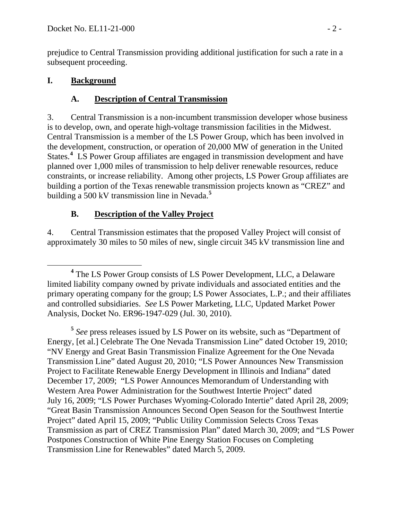prejudice to Central Transmission providing additional justification for such a rate in a subsequent proceeding.

### **I. Background**

### **A. Description of Central Transmission**

3. Central Transmission is a non-incumbent transmission developer whose business is to develop, own, and operate high-voltage transmission facilities in the Midwest. Central Transmission is a member of the LS Power Group, which has been involved in the development, construction, or operation of 20,000 MW of generation in the United States.<sup>[4](#page-1-0)</sup> LS Power Group affiliates are engaged in transmission development and have planned over 1,000 miles of transmission to help deliver renewable resources, reduce constraints, or increase reliability. Among other projects, LS Power Group affiliates are building a portion of the Texas renewable transmission projects known as "CREZ" and building a 500 kV transmission line in Nevada.**[5](#page-1-1)**

### **B. Description of the Valley Project**

4. Central Transmission estimates that the proposed Valley Project will consist of approximately 30 miles to 50 miles of new, single circuit 345 kV transmission line and

<span id="page-1-1"></span>**<sup>5</sup>** *See* press releases issued by LS Power on its website, such as "Department of Energy, [et al.] Celebrate The One Nevada Transmission Line" dated October 19, 2010; "NV Energy and Great Basin Transmission Finalize Agreement for the One Nevada Transmission Line" dated August 20, 2010; "LS Power Announces New Transmission Project to Facilitate Renewable Energy Development in Illinois and Indiana" dated December 17, 2009; "LS Power Announces Memorandum of Understanding with Western Area Power Administration for the Southwest Intertie Project" dated July 16, 2009; "LS Power Purchases Wyoming-Colorado Intertie" dated April 28, 2009; "Great Basin Transmission Announces Second Open Season for the Southwest Intertie Project" dated April 15, 2009; "Public Utility Commission Selects Cross Texas Transmission as part of CREZ Transmission Plan" dated March 30, 2009; and "LS Power Postpones Construction of White Pine Energy Station Focuses on Completing Transmission Line for Renewables" dated March 5, 2009.

<span id="page-1-0"></span>**<sup>4</sup>** <sup>4</sup> The LS Power Group consists of LS Power Development, LLC, a Delaware limited liability company owned by private individuals and associated entities and the primary operating company for the group; LS Power Associates, L.P.; and their affiliates and controlled subsidiaries. *See* LS Power Marketing, LLC, Updated Market Power Analysis, Docket No. ER96-1947-029 (Jul. 30, 2010).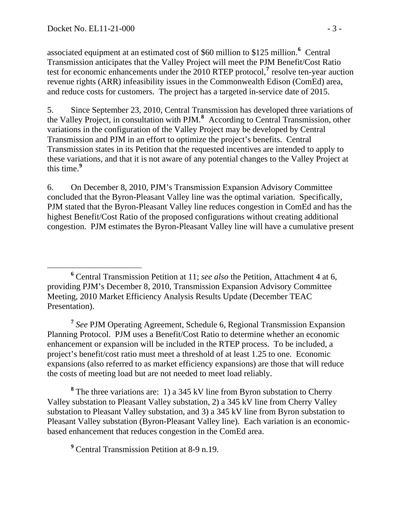associated equipment at an estimated cost of \$60 million to \$125 million.<sup>6</sup> Central Transmission anticipates that the Valley Project will meet the PJM Benefit/Cost Ratio test for economic enhancements under the 2010 RTEP protocol,<sup>7</sup> resolve ten-year auction revenue rights (ARR) infeasibility issues in the Commonwealth Edison (ComEd) area, and reduce costs for customers. The project has a targeted in-service date of 2015.

5. Since September 23, 2010, Central Transmission has developed three variations of the Valley Project, in consultation with PJM.**[8](#page-2-0)** According to Central Transmission, other variations in the configuration of the Valley Project may be developed by Central Transmission and PJM in an effort to optimize the project's benefits. Central Transmission states in its Petition that the requested incentives are intended to apply to these variations, and that it is not aware of any potential changes to the Valley Project at this time.**[9](#page-2-1)**

6. On December 8, 2010, PJM's Transmission Expansion Advisory Committee concluded that the Byron-Pleasant Valley line was the optimal variation. Specifically, PJM stated that the Byron-Pleasant Valley line reduces congestion in ComEd and has the highest Benefit/Cost Ratio of the proposed configurations without creating additional congestion. PJM estimates the Byron-Pleasant Valley line will have a cumulative present

**<sup>7</sup>** *See* PJM Operating Agreement, Schedule 6, Regional Transmission Expansion Planning Protocol. PJM uses a Benefit/Cost Ratio to determine whether an economic enhancement or expansion will be included in the RTEP process. To be included, a project's benefit/cost ratio must meet a threshold of at least 1.25 to one. Economic expansions (also referred to as market efficiency expansions) are those that will reduce the costs of meeting load but are not needed to meet load reliably.

<span id="page-2-0"></span><sup>8</sup> The three variations are: 1) a 345 kV line from Byron substation to Cherry Valley substation to Pleasant Valley substation, 2) a 345 kV line from Cherry Valley substation to Pleasant Valley substation, and 3) a 345 kV line from Byron substation to Pleasant Valley substation (Byron-Pleasant Valley line). Each variation is an economicbased enhancement that reduces congestion in the ComEd area.

<span id="page-2-1"></span><sup>9</sup> Central Transmission Petition at 8-9 n.19.

**<sup>6</sup>** Central Transmission Petition at 11; *see also* the Petition, Attachment 4 at 6, providing PJM's December 8, 2010, Transmission Expansion Advisory Committee Meeting, 2010 Market Efficiency Analysis Results Update (December TEAC Presentation).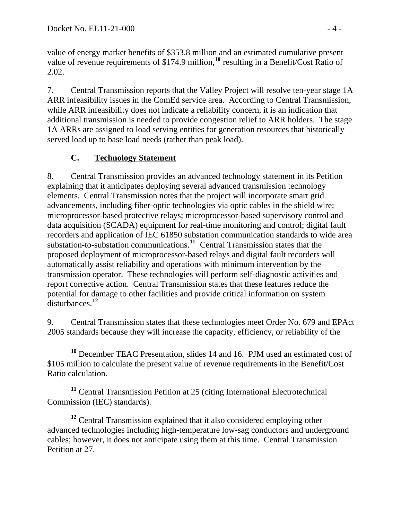value of energy market benefits of \$353.8 million and an estimated cumulative present value of revenue requirements of \$174.9 million,**[10](#page-3-0)** resulting in a Benefit/Cost Ratio of 2.02.

7. Central Transmission reports that the Valley Project will resolve ten-year stage 1A ARR infeasibility issues in the ComEd service area. According to Central Transmission, while ARR infeasibility does not indicate a reliability concern, it is an indication that additional transmission is needed to provide congestion relief to ARR holders. The stage 1A ARRs are assigned to load serving entities for generation resources that historically served load up to base load needs (rather than peak load).

## **C. Technology Statement**

8. Central Transmission provides an advanced technology statement in its Petition explaining that it anticipates deploying several advanced transmission technology elements. Central Transmission notes that the project will incorporate smart grid advancements, including fiber-optic technologies via optic cables in the shield wire; microprocessor-based protective relays; microprocessor-based supervisory control and data acquisition (SCADA) equipment for real-time monitoring and control; digital fault recorders and application of IEC 61850 substation communication standards to wide area substation-to-substation communications.**[11](#page-3-1)** Central Transmission states that the proposed deployment of microprocessor-based relays and digital fault recorders will automatically assist reliability and operations with minimum intervention by the transmission operator. These technologies will perform self-diagnostic activities and report corrective action. Central Transmission states that these features reduce the potential for damage to other facilities and provide critical information on system disturbances.**[12](#page-3-2)**

9. Central Transmission states that these technologies meet Order No. 679 and EPAct 2005 standards because they will increase the capacity, efficiency, or reliability of the

<span id="page-3-1"></span>**<sup>11</sup>** Central Transmission Petition at 25 (citing International Electrotechnical Commission (IEC) standards).

<span id="page-3-2"></span><sup>12</sup> Central Transmission explained that it also considered employing other advanced technologies including high-temperature low-sag conductors and underground cables; however, it does not anticipate using them at this time. Central Transmission Petition at 27.

<span id="page-3-0"></span>**<sup>10</sup>** December TEAC Presentation, slides 14 and 16. PJM used an estimated cost of \$105 million to calculate the present value of revenue requirements in the Benefit/Cost Ratio calculation.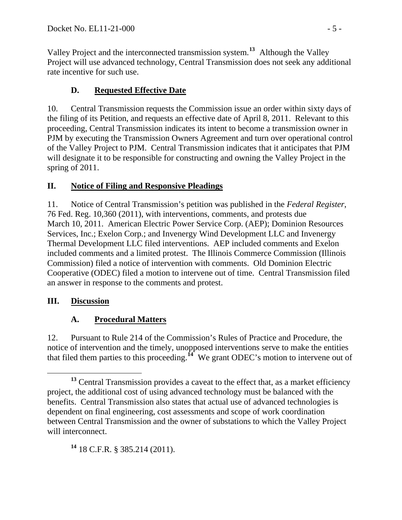Valley Project and the interconnected transmission system.**<sup>13</sup>** Although the Valley Project will use advanced technology, Central Transmission does not seek any additional rate incentive for such use.

# **D. Requested Effective Date**

10. Central Transmission requests the Commission issue an order within sixty days of the filing of its Petition, and requests an effective date of April 8, 2011. Relevant to this proceeding, Central Transmission indicates its intent to become a transmission owner in PJM by executing the Transmission Owners Agreement and turn over operational control of the Valley Project to PJM. Central Transmission indicates that it anticipates that PJM will designate it to be responsible for constructing and owning the Valley Project in the spring of 2011.

## **II. Notice of Filing and Responsive Pleadings**

11. Notice of Central Transmission's petition was published in the *Federal Register*, 76 Fed. Reg. 10,360 (2011), with interventions, comments, and protests due March 10, 2011. American Electric Power Service Corp. (AEP); Dominion Resources Services, Inc.; Exelon Corp.; and Invenergy Wind Development LLC and Invenergy Thermal Development LLC filed interventions. AEP included comments and Exelon included comments and a limited protest. The Illinois Commerce Commission (Illinois Commission) filed a notice of intervention with comments. Old Dominion Electric Cooperative (ODEC) filed a motion to intervene out of time. Central Transmission filed an answer in response to the comments and protest.

## **III. Discussion**

# **A. Procedural Matters**

12. Pursuant to Rule 214 of the Commission's Rules of Practice and Procedure, the notice of intervention and the timely, unopposed interventions serve to make the entities that filed them parties to this proceeding.**[14](#page-4-0)** We grant ODEC's motion to intervene out of

<span id="page-4-0"></span>**<sup>14</sup>** 18 C.F.R. § 385.214 (2011).

**<sup>13</sup>** Central Transmission provides a caveat to the effect that, as a market efficiency project, the additional cost of using advanced technology must be balanced with the benefits. Central Transmission also states that actual use of advanced technologies is dependent on final engineering, cost assessments and scope of work coordination between Central Transmission and the owner of substations to which the Valley Project will interconnect.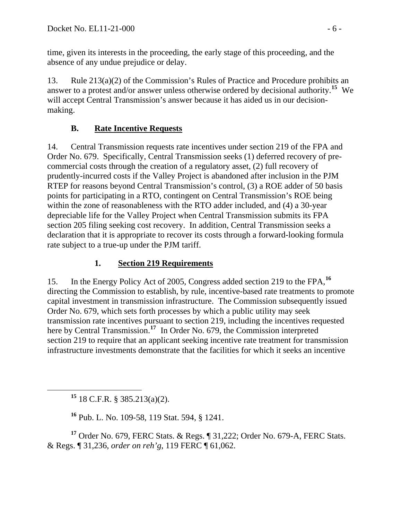time, given its interests in the proceeding, the early stage of this proceeding, and the absence of any undue prejudice or delay.

13. Rule 213(a)(2) of the Commission's Rules of Practice and Procedure prohibits an answer to a protest and/or answer unless otherwise ordered by decisional authority.**[15](#page-5-0)** We will accept Central Transmission's answer because it has aided us in our decisionmaking.

### **B. Rate Incentive Requests**

14. Central Transmission requests rate incentives under section 219 of the FPA and Order No. 679. Specifically, Central Transmission seeks (1) deferred recovery of precommercial costs through the creation of a regulatory asset, (2) full recovery of prudently-incurred costs if the Valley Project is abandoned after inclusion in the PJM RTEP for reasons beyond Central Transmission's control, (3) a ROE adder of 50 basis points for participating in a RTO, contingent on Central Transmission's ROE being within the zone of reasonableness with the RTO adder included, and (4) a 30-year depreciable life for the Valley Project when Central Transmission submits its FPA section 205 filing seeking cost recovery. In addition, Central Transmission seeks a declaration that it is appropriate to recover its costs through a forward-looking formula rate subject to a true-up under the PJM tariff.

### **1. Section 219 Requirements**

15. In the Energy Policy Act of 2005, Congress added section 219 to the FPA,**[16](#page-5-1)** directing the Commission to establish, by rule, incentive-based rate treatments to promote capital investment in transmission infrastructure. The Commission subsequently issued Order No. 679, which sets forth processes by which a public utility may seek transmission rate incentives pursuant to section 219, including the incentives requested here by Central Transmission.<sup>[17](#page-5-2)</sup> In Order No. 679, the Commission interpreted section 219 to require that an applicant seeking incentive rate treatment for transmission infrastructure investments demonstrate that the facilities for which it seeks an incentive

**<sup>15</sup>** 18 C.F.R. § 385.213(a)(2).

**<sup>16</sup>** Pub. L. No. 109-58, 119 Stat. 594, § 1241.

<span id="page-5-2"></span><span id="page-5-1"></span><span id="page-5-0"></span>**<sup>17</sup>** Order No. 679, FERC Stats. & Regs. ¶ 31,222; Order No. 679-A, FERC Stats. & Regs. ¶ 31,236, *order on reh'g*, 119 FERC ¶ 61,062.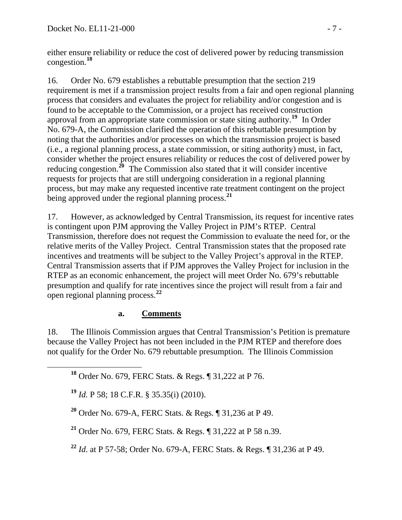either ensure reliability or reduce the cost of delivered power by reducing transmission congestion.**<sup>18</sup>**

16. Order No. 679 establishes a rebuttable presumption that the section 219 requirement is met if a transmission project results from a fair and open regional planning process that considers and evaluates the project for reliability and/or congestion and is found to be acceptable to the Commission, or a project has received construction approval from an appropriate state commission or state siting authority.**[19](#page-6-0)** In Order No. 679-A, the Commission clarified the operation of this rebuttable presumption by noting that the authorities and/or processes on which the transmission project is based (i.e., a regional planning process, a state commission, or siting authority) must, in fact, consider whether the project ensures reliability or reduces the cost of delivered power by reducing congestion.**[20](#page-6-1)** The Commission also stated that it will consider incentive requests for projects that are still undergoing consideration in a regional planning process, but may make any requested incentive rate treatment contingent on the project being approved under the regional planning process.**[21](#page-6-2)**

17. However, as acknowledged by Central Transmission, its request for incentive rates is contingent upon PJM approving the Valley Project in PJM's RTEP. Central Transmission, therefore does not request the Commission to evaluate the need for, or the relative merits of the Valley Project. Central Transmission states that the proposed rate incentives and treatments will be subject to the Valley Project's approval in the RTEP. Central Transmission asserts that if PJM approves the Valley Project for inclusion in the RTEP as an economic enhancement, the project will meet Order No. 679's rebuttable presumption and qualify for rate incentives since the project will result from a fair and open regional planning process.**[22](#page-6-3)**

### **a. Comments**

18. The Illinois Commission argues that Central Transmission's Petition is premature because the Valley Project has not been included in the PJM RTEP and therefore does not qualify for the Order No. 679 rebuttable presumption. The Illinois Commission

**<sup>18</sup>** Order No. 679, FERC Stats. & Regs. ¶ 31,222 at P 76.

<span id="page-6-0"></span>**<sup>19</sup>** *Id.* P 58; 18 C.F.R. § 35.35(i) (2010).

<span id="page-6-1"></span>**<sup>20</sup>** Order No. 679-A, FERC Stats. & Regs. ¶ 31,236 at P 49.

<span id="page-6-2"></span>**<sup>21</sup>** Order No. 679, FERC Stats. & Regs. ¶ 31,222 at P 58 n.39.

<span id="page-6-3"></span>**<sup>22</sup>** *Id*. at P 57-58; Order No. 679-A, FERC Stats. & Regs. ¶ 31,236 at P 49.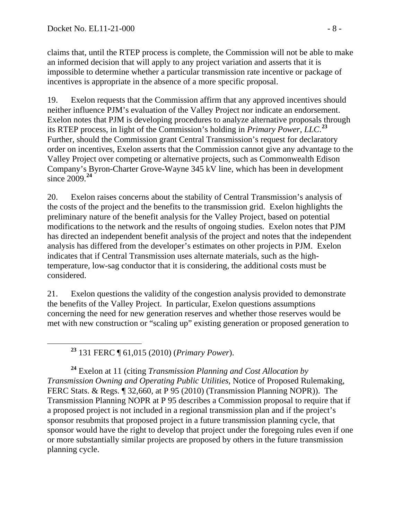claims that, until the RTEP process is complete, the Commission will not be able to make an informed decision that will apply to any project variation and asserts that it is impossible to determine whether a particular transmission rate incentive or package of incentives is appropriate in the absence of a more specific proposal.

19. Exelon requests that the Commission affirm that any approved incentives should neither influence PJM's evaluation of the Valley Project nor indicate an endorsement. Exelon notes that PJM is developing procedures to analyze alternative proposals through its RTEP process, in light of the Commission's holding in *Primary Power, LLC*. **[23](#page-7-0)** Further, should the Commission grant Central Transmission's request for declaratory order on incentives, Exelon asserts that the Commission cannot give any advantage to the Valley Project over competing or alternative projects, such as Commonwealth Edison Company's Byron-Charter Grove-Wayne 345 kV line, which has been in development since 2009.**[24](#page-7-1)**

20. Exelon raises concerns about the stability of Central Transmission's analysis of the costs of the project and the benefits to the transmission grid. Exelon highlights the preliminary nature of the benefit analysis for the Valley Project, based on potential modifications to the network and the results of ongoing studies. Exelon notes that PJM has directed an independent benefit analysis of the project and notes that the independent analysis has differed from the developer's estimates on other projects in PJM. Exelon indicates that if Central Transmission uses alternate materials, such as the hightemperature, low-sag conductor that it is considering, the additional costs must be considered.

21. Exelon questions the validity of the congestion analysis provided to demonstrate the benefits of the Valley Project. In particular, Exelon questions assumptions concerning the need for new generation reserves and whether those reserves would be met with new construction or "scaling up" existing generation or proposed generation to

**<sup>23</sup>** 131 FERC ¶ 61,015 (2010) (*Primary Power*).

<span id="page-7-1"></span><span id="page-7-0"></span>**<sup>24</sup>** Exelon at 11 (citing *Transmission Planning and Cost Allocation by Transmission Owning and Operating Public Utilities*, Notice of Proposed Rulemaking, FERC Stats. & Regs. ¶ 32,660, at P 95 (2010) (Transmission Planning NOPR)). The Transmission Planning NOPR at P 95 describes a Commission proposal to require that if a proposed project is not included in a regional transmission plan and if the project's sponsor resubmits that proposed project in a future transmission planning cycle, that sponsor would have the right to develop that project under the foregoing rules even if one or more substantially similar projects are proposed by others in the future transmission planning cycle.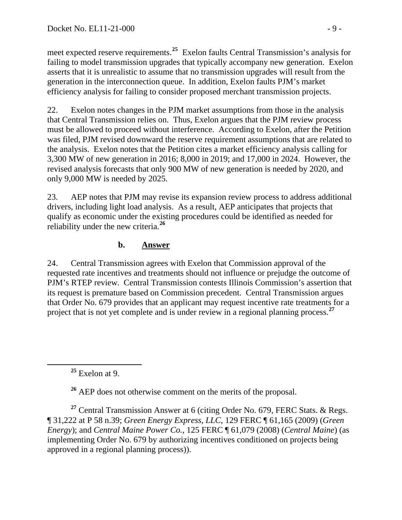meet expected reserve requirements.**<sup>25</sup>** Exelon faults Central Transmission's analysis for failing to model transmission upgrades that typically accompany new generation. Exelon asserts that it is unrealistic to assume that no transmission upgrades will result from the generation in the interconnection queue. In addition, Exelon faults PJM's market efficiency analysis for failing to consider proposed merchant transmission projects.

22. Exelon notes changes in the PJM market assumptions from those in the analysis that Central Transmission relies on. Thus, Exelon argues that the PJM review process must be allowed to proceed without interference. According to Exelon, after the Petition was filed, PJM revised downward the reserve requirement assumptions that are related to the analysis. Exelon notes that the Petition cites a market efficiency analysis calling for 3,300 MW of new generation in 2016; 8,000 in 2019; and 17,000 in 2024. However, the revised analysis forecasts that only 900 MW of new generation is needed by 2020, and only 9,000 MW is needed by 2025.

23. AEP notes that PJM may revise its expansion review process to address additional drivers, including light load analysis. As a result, AEP anticipates that projects that qualify as economic under the existing procedures could be identified as needed for reliability under the new criteria.**[26](#page-8-0)**

### **b. Answer**

24. Central Transmission agrees with Exelon that Commission approval of the requested rate incentives and treatments should not influence or prejudge the outcome of PJM's RTEP review. Central Transmission contests Illinois Commission's assertion that its request is premature based on Commission precedent. Central Transmission argues that Order No. 679 provides that an applicant may request incentive rate treatments for a project that is not yet complete and is under review in a regional planning process.**[27](#page-8-1)**

**<sup>25</sup>** Exelon at 9.

**<sup>26</sup>** AEP does not otherwise comment on the merits of the proposal.

<span id="page-8-1"></span><span id="page-8-0"></span>**<sup>27</sup>** Central Transmission Answer at 6 (citing Order No. 679, FERC Stats. & Regs. ¶ 31,222 at P 58 n.39; *Green Energy Express, LLC*, 129 FERC ¶ 61,165 (2009) (*Green Energy*); and *Central Maine Power Co.*, 125 FERC ¶ 61,079 (2008) (*Central Maine*) (as implementing Order No. 679 by authorizing incentives conditioned on projects being approved in a regional planning process)).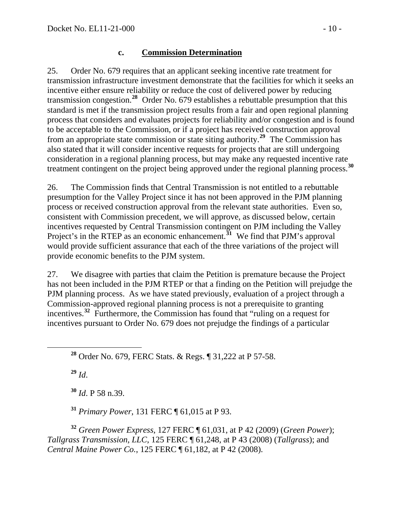#### **c. Commission Determination**

25. Order No. 679 requires that an applicant seeking incentive rate treatment for transmission infrastructure investment demonstrate that the facilities for which it seeks an incentive either ensure reliability or reduce the cost of delivered power by reducing transmission congestion.**[28](#page-9-0)** Order No. 679 establishes a rebuttable presumption that this standard is met if the transmission project results from a fair and open regional planning process that considers and evaluates projects for reliability and/or congestion and is found to be acceptable to the Commission, or if a project has received construction approval from an appropriate state commission or state siting authority.**[29](#page-9-1)** The Commission has also stated that it will consider incentive requests for projects that are still undergoing consideration in a regional planning process, but may make any requested incentive rate treatment contingent on the project being approved under the regional planning process.**[30](#page-9-2)**

26. The Commission finds that Central Transmission is not entitled to a rebuttable presumption for the Valley Project since it has not been approved in the PJM planning process or received construction approval from the relevant state authorities. Even so, consistent with Commission precedent, we will approve, as discussed below, certain incentives requested by Central Transmission contingent on PJM including the Valley Project's in the RTEP as an economic enhancement.<sup>[31](#page-9-3)</sup> We find that PJM's approval would provide sufficient assurance that each of the three variations of the project will provide economic benefits to the PJM system.

27. We disagree with parties that claim the Petition is premature because the Project has not been included in the PJM RTEP or that a finding on the Petition will prejudge the PJM planning process. As we have stated previously, evaluation of a project through a Commission-approved regional planning process is not a prerequisite to granting incentives.**[32](#page-9-4)** Furthermore, the Commission has found that "ruling on a request for incentives pursuant to Order No. 679 does not prejudge the findings of a particular

<span id="page-9-0"></span>**<sup>28</sup>** Order No. 679, FERC Stats. & Regs. ¶ 31,222 at P 57-58.

<span id="page-9-1"></span>**<sup>29</sup>** *Id*.

**<sup>30</sup>** *Id*. P 58 n.39.

**<sup>31</sup>** *Primary Power*, 131 FERC ¶ 61,015 at P 93.

<span id="page-9-4"></span><span id="page-9-3"></span><span id="page-9-2"></span>**<sup>32</sup>** *Green Power Express*, 127 FERC ¶ 61,031, at P 42 (2009) (*Green Power*); *Tallgrass Transmission, LLC*, 125 FERC ¶ 61,248, at P 43 (2008) (*Tallgrass*); and *Central Maine Power Co.*, 125 FERC ¶ 61,182, at P 42 (2008).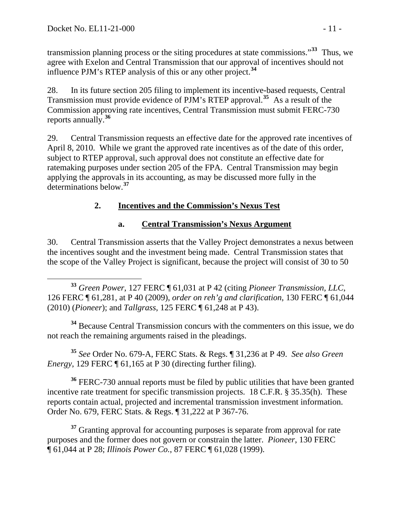transmission planning process or the siting procedures at state commissions."**<sup>33</sup>** Thus, we agree with Exelon and Central Transmission that our approval of incentives should not influence PJM's RTEP analysis of this or any other project.**<sup>34</sup>**

28. In its future section 205 filing to implement its incentive-based requests, Central Transmission must provide evidence of PJM's RTEP approval.**[35](#page-10-0)** As a result of the Commission approving rate incentives, Central Transmission must submit FERC-730 reports annually.**[36](#page-10-1)**

29. Central Transmission requests an effective date for the approved rate incentives of April 8, 2010. While we grant the approved rate incentives as of the date of this order, subject to RTEP approval, such approval does not constitute an effective date for ratemaking purposes under section 205 of the FPA. Central Transmission may begin applying the approvals in its accounting, as may be discussed more fully in the determinations below.**[37](#page-10-2)**

### **2. Incentives and the Commission's Nexus Test**

### **a. Central Transmission's Nexus Argument**

30. Central Transmission asserts that the Valley Project demonstrates a nexus between the incentives sought and the investment being made. Central Transmission states that the scope of the Valley Project is significant, because the project will consist of 30 to 50

 **<sup>33</sup>** *Green Power*, 127 FERC ¶ 61,031 at P 42 (citing *Pioneer Transmission, LLC*, 126 FERC ¶ 61,281, at P 40 (2009), *order on reh'g and clarification*, 130 FERC ¶ 61,044 (2010) (*Pioneer*); and *Tallgrass*, 125 FERC ¶ 61,248 at P 43).

**<sup>34</sup>** Because Central Transmission concurs with the commenters on this issue, we do not reach the remaining arguments raised in the pleadings.

<span id="page-10-0"></span>**<sup>35</sup>** *See* Order No. 679-A, FERC Stats. & Regs. ¶ 31,236 at P 49. *See also Green Energy*, 129 FERC ¶ 61,165 at P 30 (directing further filing).

<span id="page-10-1"></span>**<sup>36</sup>** FERC-730 annual reports must be filed by public utilities that have been granted incentive rate treatment for specific transmission projects. 18 C.F.R. § 35.35(h). These reports contain actual, projected and incremental transmission investment information. Order No. 679, FERC Stats. & Regs. ¶ 31,222 at P 367-76.

<span id="page-10-2"></span><sup>37</sup> Granting approval for accounting purposes is separate from approval for rate purposes and the former does not govern or constrain the latter. *Pioneer*, 130 FERC ¶ 61,044 at P 28; *Illinois Power Co.*, 87 FERC ¶ 61,028 (1999).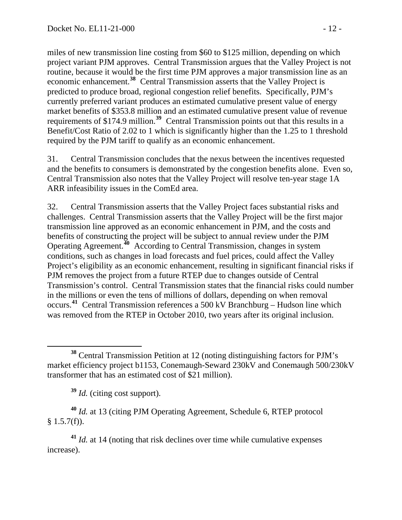miles of new transmission line costing from \$60 to \$125 million, depending on which project variant PJM approves. Central Transmission argues that the Valley Project is not routine, because it would be the first time PJM approves a major transmission line as an economic enhancement.**<sup>38</sup>** Central Transmission asserts that the Valley Project is predicted to produce broad, regional congestion relief benefits. Specifically, PJM's currently preferred variant produces an estimated cumulative present value of energy market benefits of \$353.8 million and an estimated cumulative present value of revenue requirements of \$174.9 million.<sup>39</sup> Central Transmission points out that this results in a Benefit/Cost Ratio of 2.02 to 1 which is significantly higher than the 1.25 to 1 threshold required by the PJM tariff to qualify as an economic enhancement.

31. Central Transmission concludes that the nexus between the incentives requested and the benefits to consumers is demonstrated by the congestion benefits alone. Even so, Central Transmission also notes that the Valley Project will resolve ten-year stage 1A ARR infeasibility issues in the ComEd area.

32. Central Transmission asserts that the Valley Project faces substantial risks and challenges. Central Transmission asserts that the Valley Project will be the first major transmission line approved as an economic enhancement in PJM, and the costs and benefits of constructing the project will be subject to annual review under the PJM Operating Agreement.**[40](#page-11-0)** According to Central Transmission, changes in system conditions, such as changes in load forecasts and fuel prices, could affect the Valley Project's eligibility as an economic enhancement, resulting in significant financial risks if PJM removes the project from a future RTEP due to changes outside of Central Transmission's control. Central Transmission states that the financial risks could number in the millions or even the tens of millions of dollars, depending on when removal occurs.**[41](#page-11-1)** Central Transmission references a 500 kV Branchburg – Hudson line which was removed from the RTEP in October 2010, two years after its original inclusion.

<span id="page-11-0"></span>**<sup>40</sup>** *Id.* at 13 (citing PJM Operating Agreement, Schedule 6, RTEP protocol  $§ 1.5.7(f)$ .

<span id="page-11-1"></span>**<sup>41</sup>** *Id.* at 14 (noting that risk declines over time while cumulative expenses increase).

**<sup>38</sup>** Central Transmission Petition at 12 (noting distinguishing factors for PJM's market efficiency project b1153, Conemaugh-Seward 230kV and Conemaugh 500/230kV transformer that has an estimated cost of \$21 million).

**<sup>39</sup>** *Id.* (citing cost support).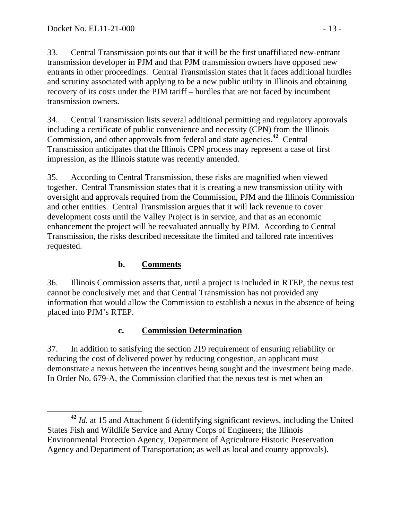33. Central Transmission points out that it will be the first unaffiliated new-entrant transmission developer in PJM and that PJM transmission owners have opposed new entrants in other proceedings. Central Transmission states that it faces additional hurdles and scrutiny associated with applying to be a new public utility in Illinois and obtaining recovery of its costs under the PJM tariff – hurdles that are not faced by incumbent transmission owners.

34. Central Transmission lists several additional permitting and regulatory approvals including a certificate of public convenience and necessity (CPN) from the Illinois Commission, and other approvals from federal and state agencies.**[42](#page-12-0)** Central Transmission anticipates that the Illinois CPN process may represent a case of first impression, as the Illinois statute was recently amended.

35. According to Central Transmission, these risks are magnified when viewed together. Central Transmission states that it is creating a new transmission utility with oversight and approvals required from the Commission, PJM and the Illinois Commission and other entities. Central Transmission argues that it will lack revenue to cover development costs until the Valley Project is in service, and that as an economic enhancement the project will be reevaluated annually by PJM. According to Central Transmission, the risks described necessitate the limited and tailored rate incentives requested.

## **b. Comments**

36. Illinois Commission asserts that, until a project is included in RTEP, the nexus test cannot be conclusively met and that Central Transmission has not provided any information that would allow the Commission to establish a nexus in the absence of being placed into PJM's RTEP.

### **c. Commission Determination**

37. In addition to satisfying the section 219 requirement of ensuring reliability or reducing the cost of delivered power by reducing congestion, an applicant must demonstrate a nexus between the incentives being sought and the investment being made. In Order No. 679-A, the Commission clarified that the nexus test is met when an

<span id="page-12-0"></span>**<sup>42</sup>** *Id.* at 15 and Attachment 6 (identifying significant reviews, including the United States Fish and Wildlife Service and Army Corps of Engineers; the Illinois Environmental Protection Agency, Department of Agriculture Historic Preservation Agency and Department of Transportation; as well as local and county approvals).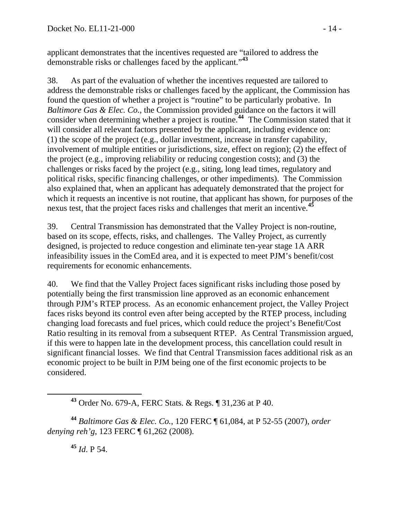applicant demonstrates that the incentives requested are "tailored to address the demonstrable risks or challenges faced by the applicant."**<sup>43</sup>**

38. As part of the evaluation of whether the incentives requested are tailored to address the demonstrable risks or challenges faced by the applicant, the Commission has found the question of whether a project is "routine" to be particularly probative. In *Baltimore Gas & Elec. Co.*, the Commission provided guidance on the factors it will consider when determining whether a project is routine.**[44](#page-13-0)** The Commission stated that it will consider all relevant factors presented by the applicant, including evidence on: (1) the scope of the project (e.g., dollar investment, increase in transfer capability, involvement of multiple entities or jurisdictions, size, effect on region); (2) the effect of the project (e.g., improving reliability or reducing congestion costs); and (3) the challenges or risks faced by the project (e.g., siting, long lead times, regulatory and political risks, specific financing challenges, or other impediments). The Commission also explained that, when an applicant has adequately demonstrated that the project for which it requests an incentive is not routine, that applicant has shown, for purposes of the nexus test, that the project faces risks and challenges that merit an incentive.**[45](#page-13-1)**

39. Central Transmission has demonstrated that the Valley Project is non-routine, based on its scope, effects, risks, and challenges. The Valley Project, as currently designed, is projected to reduce congestion and eliminate ten-year stage 1A ARR infeasibility issues in the ComEd area, and it is expected to meet PJM's benefit/cost requirements for economic enhancements.

40. We find that the Valley Project faces significant risks including those posed by potentially being the first transmission line approved as an economic enhancement through PJM's RTEP process. As an economic enhancement project, the Valley Project faces risks beyond its control even after being accepted by the RTEP process, including changing load forecasts and fuel prices, which could reduce the project's Benefit/Cost Ratio resulting in its removal from a subsequent RTEP. As Central Transmission argued, if this were to happen late in the development process, this cancellation could result in significant financial losses. We find that Central Transmission faces additional risk as an economic project to be built in PJM being one of the first economic projects to be considered.

<span id="page-13-1"></span><span id="page-13-0"></span>**<sup>44</sup>** *Baltimore Gas & Elec. Co.*, 120 FERC ¶ 61,084, at P 52-55 (2007), *order denying reh'g*, 123 FERC ¶ 61,262 (2008).

**<sup>45</sup>** *Id*. P 54.

**<sup>43</sup>** Order No. 679-A, FERC Stats. & Regs. ¶ 31,236 at P 40.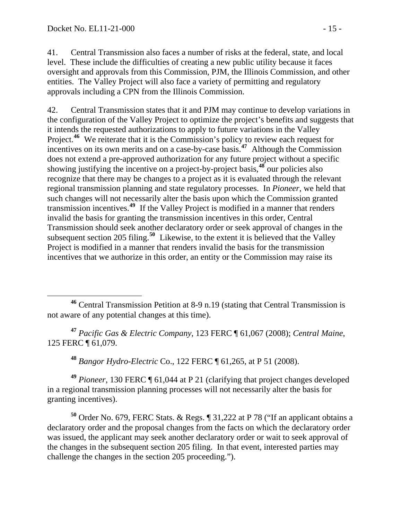41. Central Transmission also faces a number of risks at the federal, state, and local level. These include the difficulties of creating a new public utility because it faces oversight and approvals from this Commission, PJM, the Illinois Commission, and other entities. The Valley Project will also face a variety of permitting and regulatory approvals including a CPN from the Illinois Commission.

42. Central Transmission states that it and PJM may continue to develop variations in the configuration of the Valley Project to optimize the project's benefits and suggests that it intends the requested authorizations to apply to future variations in the Valley Project.<sup>[46](#page-14-0)</sup> We reiterate that it is the Commission's policy to review each request for incentives on its own merits and on a case-by-case basis.**[47](#page-14-1)** Although the Commission does not extend a pre-approved authorization for any future project without a specific showing justifying the incentive on a project-by-project basis,**[48](#page-14-2)** our policies also recognize that there may be changes to a project as it is evaluated through the relevant regional transmission planning and state regulatory processes. In *Pioneer*, we held that such changes will not necessarily alter the basis upon which the Commission granted transmission incentives. **[49](#page-14-3)** If the Valley Project is modified in a manner that renders invalid the basis for granting the transmission incentives in this order, Central Transmission should seek another declaratory order or seek approval of changes in the subsequent section 205 filing.**[50](#page-14-4)** Likewise, to the extent it is believed that the Valley Project is modified in a manner that renders invalid the basis for the transmission incentives that we authorize in this order, an entity or the Commission may raise its

<span id="page-14-1"></span>**<sup>47</sup>** *Pacific Gas & Electric Company*, 123 FERC ¶ 61,067 (2008); *Central Maine*, 125 FERC ¶ 61,079.

**<sup>48</sup>** *Bangor Hydro-Electric* Co., 122 FERC ¶ 61,265, at P 51 (2008).

<span id="page-14-3"></span><span id="page-14-2"></span>**<sup>49</sup>** *Pioneer*, 130 FERC ¶ 61,044 at P 21 (clarifying that project changes developed in a regional transmission planning processes will not necessarily alter the basis for granting incentives).

<span id="page-14-4"></span>**<sup>50</sup>** Order No. 679, FERC Stats. & Regs. ¶ 31,222 at P 78 ("If an applicant obtains a declaratory order and the proposal changes from the facts on which the declaratory order was issued, the applicant may seek another declaratory order or wait to seek approval of the changes in the subsequent section 205 filing. In that event, interested parties may challenge the changes in the section 205 proceeding.").

<span id="page-14-0"></span> $\overline{a}$ **<sup>46</sup>** Central Transmission Petition at 8-9 n.19 (stating that Central Transmission is not aware of any potential changes at this time).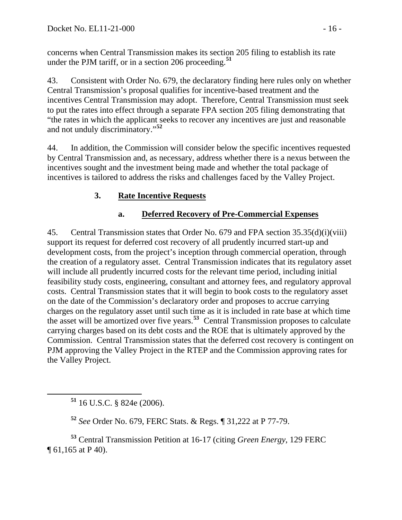concerns when Central Transmission makes its section 205 filing to establish i ts rate under the PJM tariff, or in a section 206 proceeding.<sup>51</sup>

43. Consistent with Order No. 679, the declaratory finding here rules only on whether Central Transmission's proposal qualifies for incentive-based treatment and the incentives Central Transmission may adopt. Therefore, Central Transmission must seek to put the rates into effect through a separate FPA section 205 filing demonstrating that "the rates in which the applicant seeks to recover any incentives are just and reasonable and not unduly discriminatory."**[52](#page-15-0)**

44. In addition, the Commission will consider below the specific incentives requested by Central Transmission and, as necessary, address whether there is a nexus between the incentives sought and the investment being made and whether the total package of incentives is tailored to address the risks and challenges faced by the Valley Project.

## **3. Rate Incentive Requests**

## **a. Deferred Recovery of Pre-Commercial Expenses**

45. Central Transmission states that Order No. 679 and FPA section 35.35(d)(i)(viii) support its request for deferred cost recovery of all prudently incurred start-up and development costs, from the project's inception through commercial operation, through the creation of a regulatory asset. Central Transmission indicates that its regulatory asset will include all prudently incurred costs for the relevant time period, including initial feasibility study costs, engineering, consultant and attorney fees, and regulatory approval costs. Central Transmission states that it will begin to book costs to the regulatory asset on the date of the Commission's declaratory order and proposes to accrue carrying charges on the regulatory asset until such time as it is included in rate base at which time the asset will be amortized over five years.**[53](#page-15-1)** Central Transmission proposes to calculate carrying charges based on its debt costs and the ROE that is ultimately approved by the Commission. Central Transmission states that the deferred cost recovery is contingent on PJM approving the Valley Project in the RTEP and the Commission approving rates for the Valley Project.

**<sup>51</sup>** 16 U.S.C. § 824e (2006).

**<sup>52</sup>** *See* Order No. 679, FERC Stats. & Regs. ¶ 31,222 at P 77-79.

<span id="page-15-1"></span><span id="page-15-0"></span>**<sup>53</sup>** Central Transmission Petition at 16-17 (citing *Green Energy*, 129 FERC ¶ 61,165 at P 40).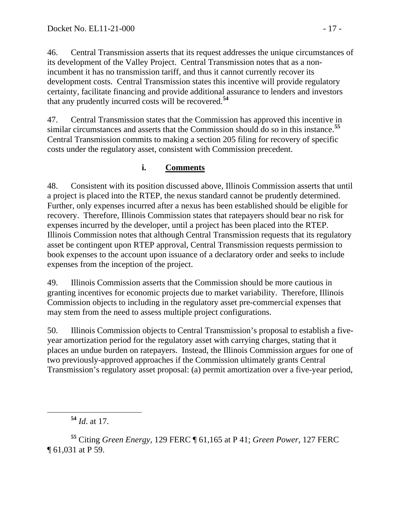46. Central Transmission asserts that its request addresses the unique circumstances of its development of the Valley Project. Central Transmission notes that as a nonincumbent it has no transmission tariff, and thus it cannot currently recover its development costs. Central Transmission states this incentive will provide regulatory certainty, facilitate financing and provide additional assurance to lenders and investors that any prudently incurred costs will be recovered.**[54](#page-16-0)**

47. Central Transmission states that the Commission has approved this incentive in similar circumstances and asserts that the Commission should do so in this instance.**[55](#page-16-1)** Central Transmission commits to making a section 205 filing for recovery of specific costs under the regulatory asset, consistent with Commission precedent.

### **i. Comments**

48. Consistent with its position discussed above, Illinois Commission asserts that until a project is placed into the RTEP, the nexus standard cannot be prudently determined. Further, only expenses incurred after a nexus has been established should be eligible for recovery. Therefore, Illinois Commission states that ratepayers should bear no risk for expenses incurred by the developer, until a project has been placed into the RTEP. Illinois Commission notes that although Central Transmission requests that its regulatory asset be contingent upon RTEP approval, Central Transmission requests permission to book expenses to the account upon issuance of a declaratory order and seeks to include expenses from the inception of the project.

49. Illinois Commission asserts that the Commission should be more cautious in granting incentives for economic projects due to market variability. Therefore, Illinois Commission objects to including in the regulatory asset pre-commercial expenses that may stem from the need to assess multiple project configurations.

50. Illinois Commission objects to Central Transmission's proposal to establish a fiveyear amortization period for the regulatory asset with carrying charges, stating that it places an undue burden on ratepayers. Instead, the Illinois Commission argues for one of two previously-approved approaches if the Commission ultimately grants Central Transmission's regulatory asset proposal: (a) permit amortization over a five-year period,

<span id="page-16-1"></span><span id="page-16-0"></span>**<sup>55</sup>** Citing *Green Energy,* 129 FERC ¶ 61,165 at P 41; *Green Power*, 127 FERC ¶ 61,031 at P 59.

**<sup>54</sup>** *Id*. at 17.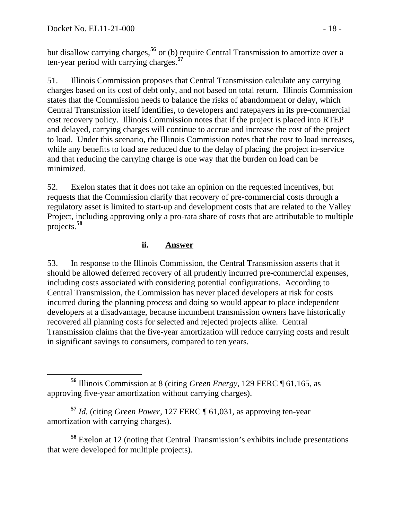but disallow carrying charges,**<sup>56</sup>** or (b) require Central Transmission to amortize over a ten-year period with carrying charges.**<sup>57</sup>**

51. Illinois Commission proposes that Central Transmission calculate any carrying charges based on its cost of debt only, and not based on total return. Illinois Commission states that the Commission needs to balance the risks of abandonment or delay, which Central Transmission itself identifies, to developers and ratepayers in its pre-commercial cost recovery policy. Illinois Commission notes that if the project is placed into RTEP and delayed, carrying charges will continue to accrue and increase the cost of the project to load. Under this scenario, the Illinois Commission notes that the cost to load increases, while any benefits to load are reduced due to the delay of placing the project in-service and that reducing the carrying charge is one way that the burden on load can be minimized.

52. Exelon states that it does not take an opinion on the requested incentives, but requests that the Commission clarify that recovery of pre-commercial costs through a regulatory asset is limited to start-up and development costs that are related to the Valley Project, including approving only a pro-rata share of costs that are attributable to multiple projects.**[58](#page-17-0)**

### **ii. Answer**

53. In response to the Illinois Commission, the Central Transmission asserts that it should be allowed deferred recovery of all prudently incurred pre-commercial expenses, including costs associated with considering potential configurations. According to Central Transmission, the Commission has never placed developers at risk for costs incurred during the planning process and doing so would appear to place independent developers at a disadvantage, because incumbent transmission owners have historically recovered all planning costs for selected and rejected projects alike. Central Transmission claims that the five-year amortization will reduce carrying costs and result in significant savings to consumers, compared to ten years.

**<sup>57</sup>** *Id.* (citing *Green Power*, 127 FERC ¶ 61,031, as approving ten-year amortization with carrying charges).

<span id="page-17-0"></span>**<sup>58</sup>** Exelon at 12 (noting that Central Transmission's exhibits include presentations that were developed for multiple projects).

**<sup>56</sup>** Illinois Commission at 8 (citing *Green Energy*, 129 FERC ¶ 61,165, as approving five-year amortization without carrying charges).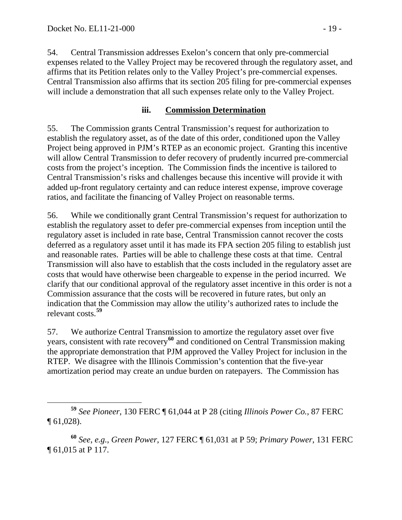54. Central Transmission addresses Exelon's concern that only pre-commercial expenses related to the Valley Project may be recovered through the regulatory asset, and affirms that its Petition relates only to the Valley Project's pre-commercial expenses. Central Transmission also affirms that its section 205 filing for pre-commercial expenses will include a demonstration that all such expenses relate only to the Valley Project.

### **iii. Commission Determination**

55. The Commission grants Central Transmission's request for authorization to establish the regulatory asset, as of the date of this order, conditioned upon the Valley Project being approved in PJM's RTEP as an economic project. Granting this incentive will allow Central Transmission to defer recovery of prudently incurred pre-commercial costs from the project's inception. The Commission finds the incentive is tailored to Central Transmission's risks and challenges because this incentive will provide it with added up-front regulatory certainty and can reduce interest expense, improve coverage ratios, and facilitate the financing of Valley Project on reasonable terms.

56. While we conditionally grant Central Transmission's request for authorization to establish the regulatory asset to defer pre-commercial expenses from inception until the regulatory asset is included in rate base, Central Transmission cannot recover the costs deferred as a regulatory asset until it has made its FPA section 205 filing to establish just and reasonable rates. Parties will be able to challenge these costs at that time. Central Transmission will also have to establish that the costs included in the regulatory asset are costs that would have otherwise been chargeable to expense in the period incurred. We clarify that our conditional approval of the regulatory asset incentive in this order is not a Commission assurance that the costs will be recovered in future rates, but only an indication that the Commission may allow the utility's authorized rates to include the relevant costs.**[59](#page-18-0)**

57. We authorize Central Transmission to amortize the regulatory asset over five years, consistent with rate recovery**[60](#page-18-1)** and conditioned on Central Transmission making the appropriate demonstration that PJM approved the Valley Project for inclusion in the RTEP. We disagree with the Illinois Commission's contention that the five-year amortization period may create an undue burden on ratepayers. The Commission has

<span id="page-18-1"></span>**<sup>60</sup>** *See*, *e.g.*, *Green Power*, 127 FERC ¶ 61,031 at P 59; *Primary Power*, 131 FERC ¶ 61,015 at P 117.

<span id="page-18-0"></span>**<sup>59</sup>** *See Pioneer*, 130 FERC ¶ 61,044 at P 28 (citing *Illinois Power Co.*, 87 FERC  $\P$  61,028).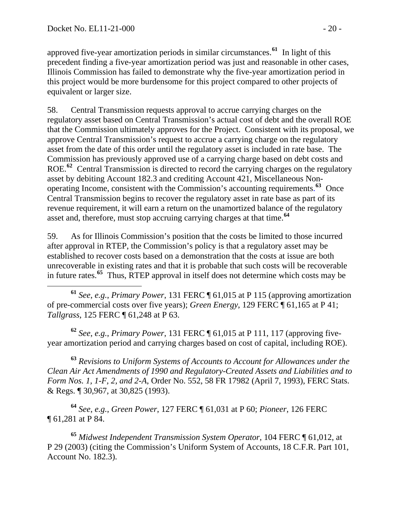approved five-year amortization periods in similar circumstances.**[61](#page-19-0)** In light of this precedent finding a five-year amortization period was just and reasonable in other cases, Illinois Commission has failed to demonstrate why the five-year amortization period in this project would be more burdensome for this project compared to other projects of equivalent or larger size.

58. Central Transmission requests approval to accrue carrying charges on the regulatory asset based on Central Transmission's actual cost of debt and the overall ROE that the Commission ultimately approves for the Project. Consistent with its proposal, we approve Central Transmission's request to accrue a carrying charge on the regulatory asset from the date of this order until the regulatory asset is included in rate base. The Commission has previously approved use of a carrying charge based on debt costs and ROE.<sup>[62](#page-19-1)</sup> Central Transmission is directed to record the carrying charges on the regulatory asset by debiting Account 182.3 and crediting Account 421, Miscellaneous Nonoperating Income, consistent with the Commission's accounting requirements. **[63](#page-19-2)** Once Central Transmission begins to recover the regulatory asset in rate base as part of its revenue requirement, it will earn a return on the unamortized balance of the regulatory asset and, therefore, must stop accruing carrying charges at that time.**[64](#page-19-3)**

59. As for Illinois Commission's position that the costs be limited to those incurred after approval in RTEP, the Commission's policy is that a regulatory asset may be established to recover costs based on a demonstration that the costs at issue are both unrecoverable in existing rates and that it is probable that such costs will be recoverable in future rates.**[65](#page-19-4)** Thus, RTEP approval in itself does not determine which costs may be

<span id="page-19-0"></span> **<sup>61</sup>** *See*, *e.g.*, *Primary Power*, 131 FERC ¶ 61,015 at P 115 (approving amortization of pre-commercial costs over five years); *Green Energy*, 129 FERC ¶ 61,165 at P 41; *Tallgrass*, 125 FERC ¶ 61,248 at P 63.

<span id="page-19-1"></span>**<sup>62</sup>** *See*, *e.g.*, *Primary Power*, 131 FERC ¶ 61,015 at P 111, 117 (approving fiveyear amortization period and carrying charges based on cost of capital, including ROE).

<span id="page-19-2"></span>**<sup>63</sup>** *Revisions to Uniform Systems of Accounts to Account for Allowances under the Clean Air Act Amendments of 1990 and Regulatory-Created Assets and Liabilities and to Form Nos. 1, 1-F, 2, and 2-A*, Order No. 552, 58 FR 17982 (April 7, 1993), FERC Stats. & Regs. ¶ 30,967, at 30,825 (1993).

<span id="page-19-3"></span>**<sup>64</sup>** *See*, *e.g.*, *Green Power*, 127 FERC ¶ 61,031 at P 60; *Pioneer*, 126 FERC ¶ 61,281 at P 84.

<span id="page-19-4"></span>**<sup>65</sup>** *Midwest Independent Transmission System Operator*, 104 FERC ¶ 61,012, at P 29 (2003) (citing the Commission's Uniform System of Accounts, 18 C.F.R. Part 101, Account No. 182.3).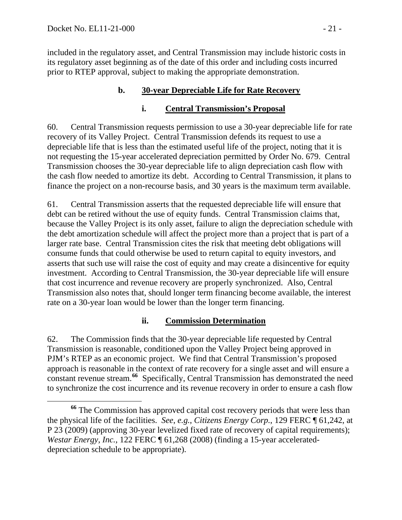included in the regulatory asset, and Central Transmission may include historic costs in its regulatory asset beginning as of the date of this order and including costs incurred prior to RTEP approval, subject to making the appropriate demonstration.

### **b. 30-year Depreciable Life for Rate Recovery**

### **i. Central Transmission's Proposal**

60. Central Transmission requests permission to use a 30-year depreciable life for rate recovery of its Valley Project. Central Transmission defends its request to use a depreciable life that is less than the estimated useful life of the project, noting that it is not requesting the 15-year accelerated depreciation permitted by Order No. 679. Central Transmission chooses the 30-year depreciable life to align depreciation cash flow with the cash flow needed to amortize its debt. According to Central Transmission, it plans to finance the project on a non-recourse basis, and 30 years is the maximum term available.

61. Central Transmission asserts that the requested depreciable life will ensure that debt can be retired without the use of equity funds. Central Transmission claims that, because the Valley Project is its only asset, failure to align the depreciation schedule with the debt amortization schedule will affect the project more than a project that is part of a larger rate base. Central Transmission cites the risk that meeting debt obligations will consume funds that could otherwise be used to return capital to equity investors, and asserts that such use will raise the cost of equity and may create a disincentive for equity investment. According to Central Transmission, the 30-year depreciable life will ensure that cost incurrence and revenue recovery are properly synchronized. Also, Central Transmission also notes that, should longer term financing become available, the interest rate on a 30-year loan would be lower than the longer term financing.

### **ii. Commission Determination**

62. The Commission finds that the 30-year depreciable life requested by Central Transmission is reasonable, conditioned upon the Valley Project being approved in PJM's RTEP as an economic project. We find that Central Transmission's proposed approach is reasonable in the context of rate recovery for a single asset and will ensure a constant revenue stream.**[66](#page-20-0)** Specifically, Central Transmission has demonstrated the need to synchronize the cost incurrence and its revenue recovery in order to ensure a cash flow

<span id="page-20-0"></span>**<sup>66</sup>** The Commission has approved capital cost recovery periods that were less than the physical life of the facilities. *See*, *e.g.*, *Citizens Energy Corp.*, 129 FERC ¶ 61,242, at P 23 (2009) (approving 30-year levelized fixed rate of recovery of capital requirements); *Westar Energy, Inc.*, 122 FERC ¶ 61,268 (2008) (finding a 15-year accelerateddepreciation schedule to be appropriate).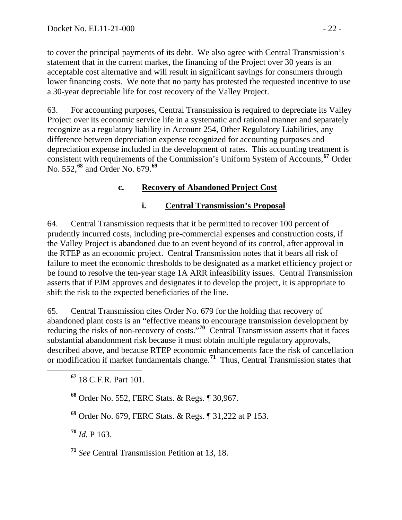to cover the principal payments of its debt. We also agree with Central Transmission's statement that in the current market, the financing of the Project over 30 years is an acceptable cost alternative and will result in significant savings for consumers through lower financing costs. We note that no party has protested the requested incentive to use a 30-year depreciable life for cost recovery of the Valley Project.

63. For accounting purposes, Central Transmission is required to depreciate its Valley Project over its economic service life in a systematic and rational manner and separately recognize as a regulatory liability in Account 254, Other Regulatory Liabilities, any difference between depreciation expense recognized for accounting purposes and depreciation expense included in the development of rates. This accounting treatment is consistent with requirements of the Commission's Uniform System of Accounts,**[67](#page-21-0)** Order No. 552,**[68](#page-21-1)** and Order No. 679.**[69](#page-21-2)**

### **c. Recovery of Abandoned Project Cost**

### **i. Central Transmission's Proposal**

64. Central Transmission requests that it be permitted to recover 100 percent of prudently incurred costs, including pre-commercial expenses and construction costs, if the Valley Project is abandoned due to an event beyond of its control, after approval in the RTEP as an economic project. Central Transmission notes that it bears all risk of failure to meet the economic thresholds to be designated as a market efficiency project or be found to resolve the ten-year stage 1A ARR infeasibility issues. Central Transmission asserts that if PJM approves and designates it to develop the project, it is appropriate to shift the risk to the expected beneficiaries of the line.

65. Central Transmission cites Order No. 679 for the holding that recovery of abandoned plant costs is an "effective means to encourage transmission development by reducing the risks of non-recovery of costs."**[70](#page-21-3)** Central Transmission asserts that it faces substantial abandonment risk because it must obtain multiple regulatory approvals, described above, and because RTEP economic enhancements face the risk of cancellation or modification if market fundamentals change.**[71](#page-21-4)** Thus, Central Transmission states that

<span id="page-21-1"></span>**<sup>68</sup>** Order No. 552, FERC Stats. & Regs. ¶ 30,967.

<span id="page-21-2"></span>**<sup>69</sup>** Order No. 679, FERC Stats. & Regs. ¶ 31,222 at P 153.

<span id="page-21-3"></span>**<sup>70</sup>** *Id.* P 163.

<span id="page-21-4"></span>**<sup>71</sup>** *See* Central Transmission Petition at 13, 18.

<span id="page-21-0"></span>**<sup>67</sup>** 18 C.F.R. Part 101.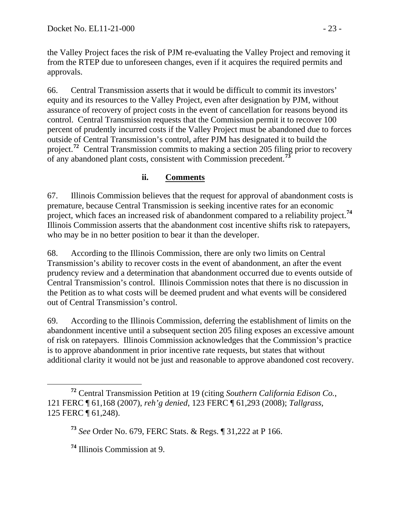the Valley Project faces the risk of PJM re-evaluating the Valley Project and removing it from the RTEP due to unforeseen changes, even if it acquires the required permits and approvals.

66. Central Transmission asserts that it would be difficult to commit its investors' equity and its resources to the Valley Project, even after designation by PJM, without assurance of recovery of project costs in the event of cancellation for reasons beyond its control. Central Transmission requests that the Commission permit it to recover 100 percent of prudently incurred costs if the Valley Project must be abandoned due to forces outside of Central Transmission's control, after PJM has designated it to build the project.**[72](#page-22-0)** Central Transmission commits to making a section 205 filing prior to recovery of any abandoned plant costs, consistent with Commission precedent.**[73](#page-22-1)**

### **ii. Comments**

67. Illinois Commission believes that the request for approval of abandonment costs is premature, because Central Transmission is seeking incentive rates for an economic project, which faces an increased risk of abandonment compared to a reliability project.**[74](#page-22-2)** Illinois Commission asserts that the abandonment cost incentive shifts risk to ratepayers, who may be in no better position to bear it than the developer.

68. According to the Illinois Commission, there are only two limits on Central Transmission's ability to recover costs in the event of abandonment, an after the event prudency review and a determination that abandonment occurred due to events outside of Central Transmission's control. Illinois Commission notes that there is no discussion in the Petition as to what costs will be deemed prudent and what events will be considered out of Central Transmission's control.

69. According to the Illinois Commission, deferring the establishment of limits on the abandonment incentive until a subsequent section 205 filing exposes an excessive amount of risk on ratepayers. Illinois Commission acknowledges that the Commission's practice is to approve abandonment in prior incentive rate requests, but states that without additional clarity it would not be just and reasonable to approve abandoned cost recovery.

<span id="page-22-1"></span><span id="page-22-0"></span>**<sup>72</sup>** Central Transmission Petition at 19 (citing *Southern California Edison Co.*, 121 FERC ¶ 61,168 (2007), *reh'g denied*, 123 FERC ¶ 61,293 (2008); *Tallgrass*, 125 FERC ¶ 61,248).

**<sup>73</sup>** *See* Order No. 679, FERC Stats. & Regs. ¶ 31,222 at P 166.

<span id="page-22-2"></span>**<sup>74</sup>** Illinois Commission at 9.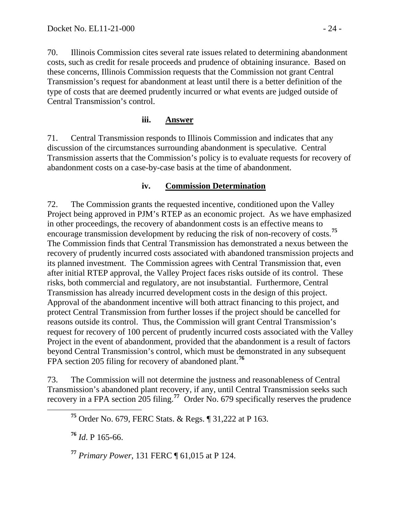70. Illinois Commission cites several rate issues related to determining abandonment costs, such as credit for resale proceeds and prudence of obtaining insurance. Based on these concerns, Illinois Commission requests that the Commission not grant Central Transmission's request for abandonment at least until there is a better definition of the type of costs that are deemed prudently incurred or what events are judged outside of Central Transmission's control.

#### **iii. Answer**

71. Central Transmission responds to Illinois Commission and indicates that any discussion of the circumstances surrounding abandonment is speculative. Central Transmission asserts that the Commission's policy is to evaluate requests for recovery of abandonment costs on a case-by-case basis at the time of abandonment.

#### **iv. Commission Determination**

72. The Commission grants the requested incentive, conditioned upon the Valley Project being approved in PJM's RTEP as an economic project. As we have emphasized in other proceedings, the recovery of abandonment costs is an effective means to encourage transmission development by reducing the risk of non-recovery of costs.**[75](#page-23-0)** The Commission finds that Central Transmission has demonstrated a nexus between the recovery of prudently incurred costs associated with abandoned transmission projects and its planned investment. The Commission agrees with Central Transmission that, even after initial RTEP approval, the Valley Project faces risks outside of its control. These risks, both commercial and regulatory, are not insubstantial. Furthermore, Central Transmission has already incurred development costs in the design of this project. Approval of the abandonment incentive will both attract financing to this project, and protect Central Transmission from further losses if the project should be cancelled for reasons outside its control. Thus, the Commission will grant Central Transmission's request for recovery of 100 percent of prudently incurred costs associated with the Valley Project in the event of abandonment, provided that the abandonment is a result of factors beyond Central Transmission's control, which must be demonstrated in any subsequent FPA section 205 filing for recovery of abandoned plant.**[76](#page-23-1)**

<span id="page-23-0"></span>73. The Commission will not determine the justness and reasonableness of Central Transmission's abandoned plant recovery, if any, until Central Transmission seeks such recovery in a FPA section 205 filing.**[77](#page-23-2)** Order No. 679 specifically reserves the prudence

<span id="page-23-1"></span>**<sup>76</sup>** *Id*. P 165-66.

<span id="page-23-2"></span>**<sup>77</sup>** *Primary Power*, 131 FERC ¶ 61,015 at P 124.

**<sup>75</sup>** Order No. 679, FERC Stats. & Regs. ¶ 31,222 at P 163.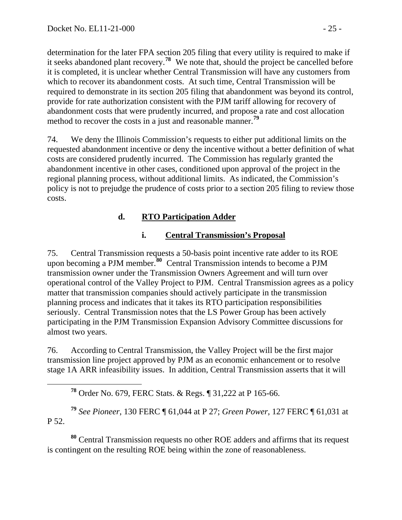determination for the later FPA section 205 filing that every utility is required to make if it seeks abandoned plant recovery. **<sup>78</sup>** We note that, should the project be cancelled before it is completed, it is unclear whether Central Transmission will have any customers from which to recover its abandonment costs. At such time, Central Transmission will be required to demonstrate in its section 205 filing that abandonment was beyond its control, provide for rate authorization consistent with the PJM tariff allowing for recovery of abandonment costs that were prudently incurred, and propose a rate and cost allocation method to recover the costs in a just and reasonable manner.**<sup>79</sup>**

74. We deny the Illinois Commission's requests to either put additional limits on the requested abandonment incentive or deny the incentive without a better definition of what costs are considered prudently incurred. The Commission has regularly granted the abandonment incentive in other cases, conditioned upon approval of the project in the regional planning process, without additional limits. As indicated, the Commission's policy is not to prejudge the prudence of costs prior to a section 205 filing to review those costs.

## **d. RTO Participation Adder**

### **i. Central Transmission's Proposal**

75. Central Transmission requests a 50-basis point incentive rate adder to its ROE upon becoming a PJM member.<sup>[80](#page-24-0)</sup> Central Transmission intends to become a PJM transmission owner under the Transmission Owners Agreement and will turn over operational control of the Valley Project to PJM. Central Transmission agrees as a policy matter that transmission companies should actively participate in the transmission planning process and indicates that it takes its RTO participation responsibilities seriously. Central Transmission notes that the LS Power Group has been actively participating in the PJM Transmission Expansion Advisory Committee discussions for almost two years.

76. According to Central Transmission, the Valley Project will be the first major transmission line project approved by PJM as an economic enhancement or to resolve stage 1A ARR infeasibility issues. In addition, Central Transmission asserts that it will

**<sup>78</sup>** Order No. 679, FERC Stats. & Regs. ¶ 31,222 at P 165-66.

**<sup>79</sup>** *See Pioneer*, 130 FERC ¶ 61,044 at P 27; *Green Power*, 127 FERC ¶ 61,031 at P 52.

<span id="page-24-0"></span>**<sup>80</sup>** Central Transmission requests no other ROE adders and affirms that its request is contingent on the resulting ROE being within the zone of reasonableness.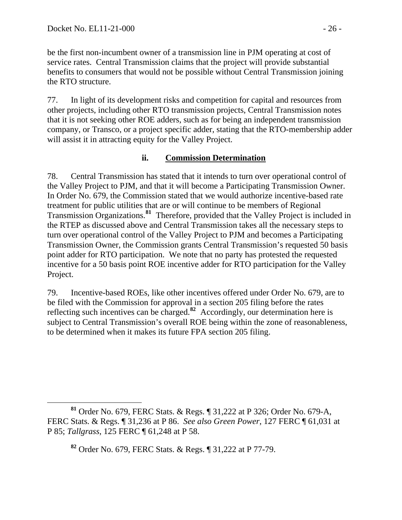be the first non-incumbent owner of a transmission line in PJM operating at cost of service rates. Central Transmission claims that the project will provide substantial benefits to consumers that would not be possible without Central Transmission joining the RTO structure.

77. In light of its development risks and competition for capital and resources from other projects, including other RTO transmission projects, Central Transmission notes that it is not seeking other ROE adders, such as for being an independent transmission company, or Transco, or a project specific adder, stating that the RTO-membership adder will assist it in attracting equity for the Valley Project.

### **ii. Commission Determination**

78. Central Transmission has stated that it intends to turn over operational control of the Valley Project to PJM, and that it will become a Participating Transmission Owner. In Order No. 679, the Commission stated that we would authorize incentive-based rate treatment for public utilities that are or will continue to be members of Regional Transmission Organizations.**[81](#page-25-0)** Therefore, provided that the Valley Project is included in the RTEP as discussed above and Central Transmission takes all the necessary steps to turn over operational control of the Valley Project to PJM and becomes a Participating Transmission Owner, the Commission grants Central Transmission's requested 50 basis point adder for RTO participation. We note that no party has protested the requested incentive for a 50 basis point ROE incentive adder for RTO participation for the Valley Project.

79. Incentive-based ROEs, like other incentives offered under Order No. 679, are to be filed with the Commission for approval in a section 205 filing before the rates reflecting such incentives can be charged.**[82](#page-25-1)** Accordingly, our determination here is subject to Central Transmission's overall ROE being within the zone of reasonableness, to be determined when it makes its future FPA section 205 filing.

<span id="page-25-1"></span><span id="page-25-0"></span>**<sup>81</sup>** Order No. 679, FERC Stats. & Regs. ¶ 31,222 at P 326; Order No. 679-A, FERC Stats. & Regs. ¶ 31,236 at P 86. *See also Green Power*, 127 FERC ¶ 61,031 at P 85; *Tallgrass*, 125 FERC ¶ 61,248 at P 58.

**<sup>82</sup>** Order No. 679, FERC Stats. & Regs. ¶ 31,222 at P 77-79.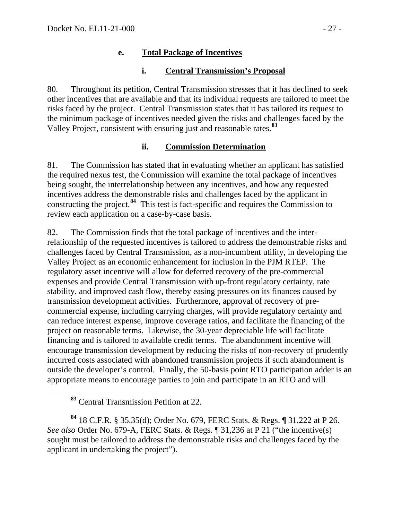### **e. Total Package of Incentives**

### **i. Central Transmission's Proposal**

80. Throughout its petition, Central Transmission stresses that it has declined to seek other incentives that are available and that its individual requests are tailored to meet the risks faced by the project. Central Transmission states that it has tailored its request to the minimum package of incentives needed given the risks and challenges faced by the Valley Project, consistent with ensuring just and reasonable rates.**[83](#page-26-0)**

### **ii. Commission Determination**

81. The Commission has stated that in evaluating whether an applicant has satisfied the required nexus test, the Commission will examine the total package of incentives being sought, the interrelationship between any incentives, and how any requested incentives address the demonstrable risks and challenges faced by the applicant in constructing the project.**[84](#page-26-1)** This test is fact-specific and requires the Commission to review each application on a case-by-case basis.

82. The Commission finds that the total package of incentives and the interrelationship of the requested incentives is tailored to address the demonstrable risks and challenges faced by Central Transmission, as a non-incumbent utility, in developing the Valley Project as an economic enhancement for inclusion in the PJM RTEP. The regulatory asset incentive will allow for deferred recovery of the pre-commercial expenses and provide Central Transmission with up-front regulatory certainty, rate stability, and improved cash flow, thereby easing pressures on its finances caused by transmission development activities. Furthermore, approval of recovery of precommercial expense, including carrying charges, will provide regulatory certainty and can reduce interest expense, improve coverage ratios, and facilitate the financing of the project on reasonable terms. Likewise, the 30-year depreciable life will facilitate financing and is tailored to available credit terms. The abandonment incentive will encourage transmission development by reducing the risks of non-recovery of prudently incurred costs associated with abandoned transmission projects if such abandonment is outside the developer's control. Finally, the 50-basis point RTO participation adder is an appropriate means to encourage parties to join and participate in an RTO and will

<span id="page-26-1"></span><span id="page-26-0"></span>**<sup>84</sup>** 18 C.F.R. § 35.35(d); Order No. 679, FERC Stats. & Regs. ¶ 31,222 at P 26. *See also* Order No. 679-A, FERC Stats. & Regs. ¶ 31,236 at P 21 ("the incentive(s) sought must be tailored to address the demonstrable risks and challenges faced by the applicant in undertaking the project").

**<sup>83</sup>** Central Transmission Petition at 22.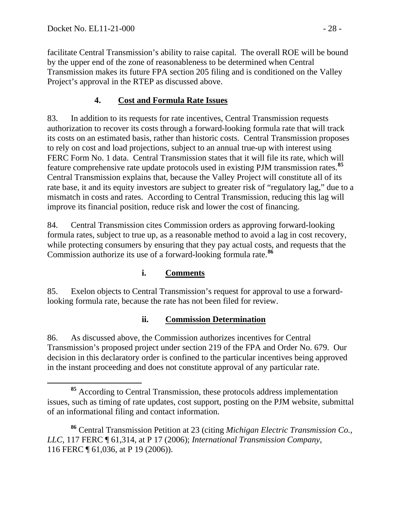facilitate Central Transmission's ability to raise capital. The overall ROE will be bound by the upper end of the zone of reasonableness to be determined when Central Transmission makes its future FPA section 205 filing and is conditioned on the Valley Project's approval in the RTEP as discussed above.

# **4. Cost and Formula Rate Issues**

83. In addition to its requests for rate incentives, Central Transmission requests authorization to recover its costs through a forward-looking formula rate that will track its costs on an estimated basis, rather than historic costs. Central Transmission proposes to rely on cost and load projections, subject to an annual true-up with interest using FERC Form No. 1 data. Central Transmission states that it will file its rate, which will feature comprehensive rate update protocols used in existing PJM transmission rates.**[85](#page-27-0)** Central Transmission explains that, because the Valley Project will constitute all of its rate base, it and its equity investors are subject to greater risk of "regulatory lag," due to a mismatch in costs and rates. According to Central Transmission, reducing this lag will improve its financial position, reduce risk and lower the cost of financing.

84. Central Transmission cites Commission orders as approving forward-looking formula rates, subject to true up, as a reasonable method to avoid a lag in cost recovery, while protecting consumers by ensuring that they pay actual costs, and requests that the Commission authorize its use of a forward-looking formula rate.**[86](#page-27-1)**

## **i. Comments**

85. Exelon objects to Central Transmission's request for approval to use a forwardlooking formula rate, because the rate has not been filed for review.

## **ii. Commission Determination**

86. As discussed above, the Commission authorizes incentives for Central Transmission's proposed project under section 219 of the FPA and Order No. 679. Our decision in this declaratory order is confined to the particular incentives being approved in the instant proceeding and does not constitute approval of any particular rate.

<span id="page-27-0"></span>**<sup>85</sup>** According to Central Transmission, these protocols address implementation issues, such as timing of rate updates, cost support, posting on the PJM website, submittal of an informational filing and contact information.

<span id="page-27-1"></span>**<sup>86</sup>** Central Transmission Petition at 23 (citing *Michigan Electric Transmission Co., LLC*, 117 FERC ¶ 61,314, at P 17 (2006); *International Transmission Company*, 116 FERC ¶ 61,036, at P 19 (2006)).